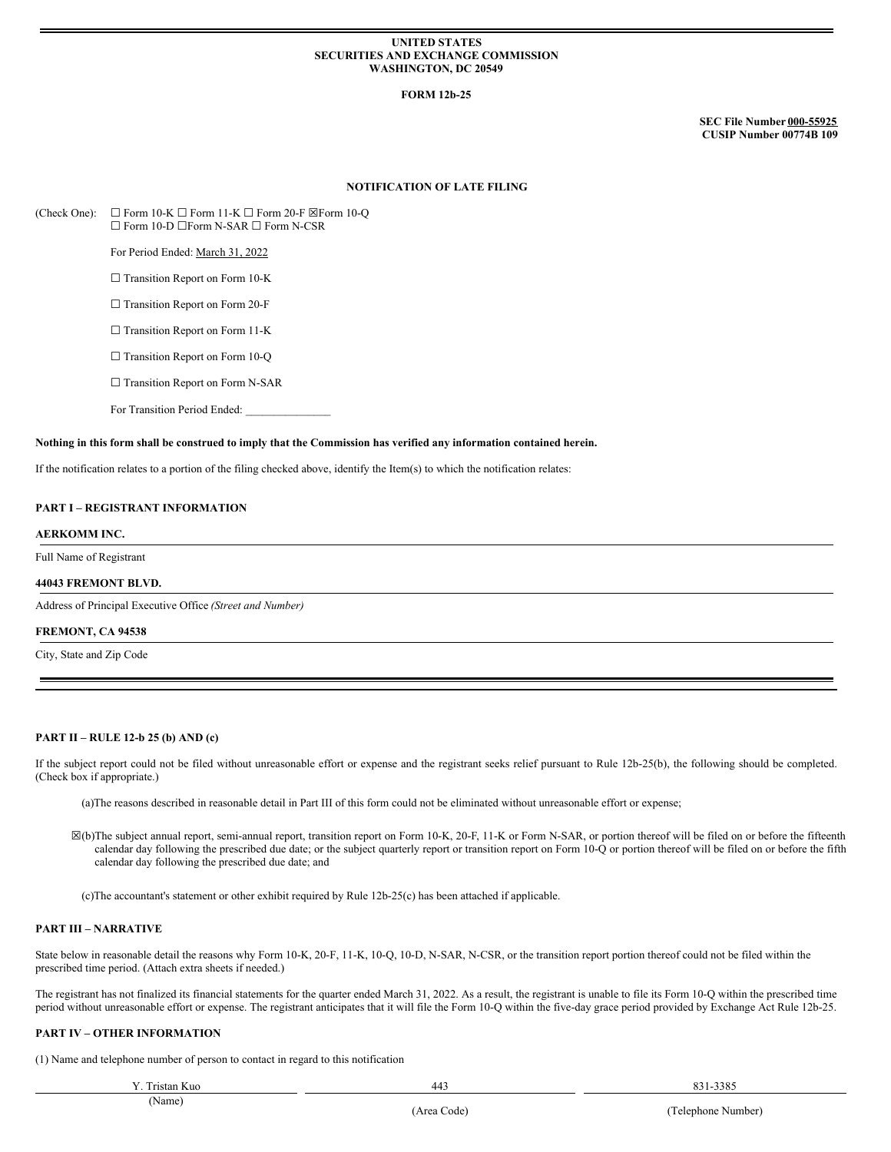### **UNITED STATES SECURITIES AND EXCHANGE COMMISSION WASHINGTON, DC 20549**

## **FORM 12b-25**

**SEC File Number 000-55925 CUSIP Number 00774B 109**

## **NOTIFICATION OF LATE FILING**

(Check One):  $\Box$  Form 10-K  $\Box$  Form 11-K  $\Box$  Form 20-F  $\boxtimes$  Form 10-Q ☐ Form 10-D ☐Form N-SAR ☐ Form N-CSR

For Period Ended: March 31, 2022

□ Transition Report on Form 10-K

□ Transition Report on Form 20-F

□ Transition Report on Form 11-K

□ Transition Report on Form 10-Q

□ Transition Report on Form N-SAR

For Transition Period Ended:

#### Nothing in this form shall be construed to imply that the Commission has verified any information contained herein.

If the notification relates to a portion of the filing checked above, identify the Item(s) to which the notification relates:

# **PART I – REGISTRANT INFORMATION**

### **AERKOMM INC.**

Full Name of Registrant

### **44043 FREMONT BLVD.**

Address of Principal Executive Office *(Street and Number)*

#### **FREMONT, CA 94538**

City, State and Zip Code

## **PART II – RULE 12-b 25 (b) AND (c)**

If the subject report could not be filed without unreasonable effort or expense and the registrant seeks relief pursuant to Rule 12b-25(b), the following should be completed. (Check box if appropriate.)

(a)The reasons described in reasonable detail in Part III of this form could not be eliminated without unreasonable effort or expense;

☒(b)The subject annual report, semi-annual report, transition report on Form 10-K, 20-F, 11-K or Form N-SAR, or portion thereof will be filed on or before the fifteenth calendar day following the prescribed due date; or the subject quarterly report or transition report on Form 10-Q or portion thereof will be filed on or before the fifth calendar day following the prescribed due date; and

(c)The accountant's statement or other exhibit required by Rule 12b-25(c) has been attached if applicable.

### **PART III – NARRATIVE**

State below in reasonable detail the reasons why Form 10-K, 20-F, 11-K, 10-Q, 10-D, N-SAR, N-CSR, or the transition report portion thereof could not be filed within the prescribed time period. (Attach extra sheets if needed.)

The registrant has not finalized its financial statements for the quarter ended March 31, 2022. As a result, the registrant is unable to file its Form 10-Q within the prescribed time period without unreasonable effort or expense. The registrant anticipates that it will file the Form 10-Q within the five-day grace period provided by Exchange Act Rule 12b-25.

# **PART IV – OTHER INFORMATION**

(1) Name and telephone number of person to contact in regard to this notification

| Y. Tristan Kuo | $44^\circ$<br>. .<br>___ | 2205<br><b>001</b><br>,,,,<br><u> 00 i </u> |
|----------------|--------------------------|---------------------------------------------|
|                |                          |                                             |